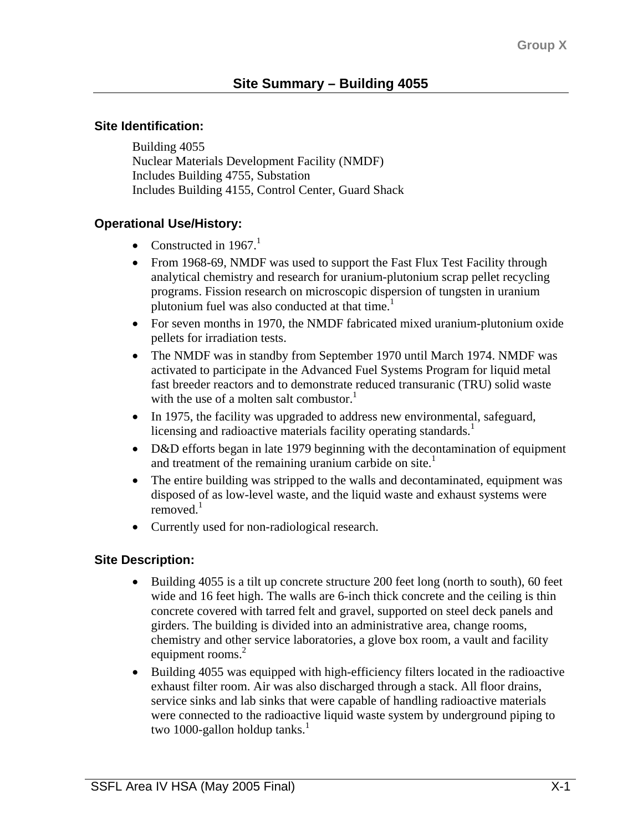### **Site Identification:**

Building 4055 Nuclear Materials Development Facility (NMDF) Includes Building 4755, Substation Includes Building 4155, Control Center, Guard Shack

## **Operational Use/History:**

- Constructed in 1967.<sup>1</sup>
- From 1968-69, NMDF was used to support the Fast Flux Test Facility through analytical chemistry and research for uranium-plutonium scrap pellet recycling programs. Fission research on microscopic dispersion of tungsten in uranium plutonium fuel was also conducted at that time.<sup>1</sup>
- For seven months in 1970, the NMDF fabricated mixed uranium-plutonium oxide pellets for irradiation tests.
- The NMDF was in standby from September 1970 until March 1974. NMDF was activated to participate in the Advanced Fuel Systems Program for liquid metal fast breeder reactors and to demonstrate reduced transuranic (TRU) solid waste with the use of a molten salt combustor.<sup>1</sup>
- In 1975, the facility was upgraded to address new environmental, safeguard, licensing and radioactive materials facility operating standards.<sup>1</sup>
- D&D efforts began in late 1979 beginning with the decontamination of equipment and treatment of the remaining uranium carbide on site. $<sup>1</sup>$ </sup>
- The entire building was stripped to the walls and decontaminated, equipment was disposed of as low-level waste, and the liquid waste and exhaust systems were removed.<sup>1</sup>
- Currently used for non-radiological research.

### **Site Description:**

- Building 4055 is a tilt up concrete structure 200 feet long (north to south), 60 feet wide and 16 feet high. The walls are 6-inch thick concrete and the ceiling is thin concrete covered with tarred felt and gravel, supported on steel deck panels and girders. The building is divided into an administrative area, change rooms, chemistry and other service laboratories, a glove box room, a vault and facility equipment rooms.<sup>2</sup>
- Building 4055 was equipped with high-efficiency filters located in the radioactive exhaust filter room. Air was also discharged through a stack. All floor drains, service sinks and lab sinks that were capable of handling radioactive materials were connected to the radioactive liquid waste system by underground piping to two 1000-gallon holdup tanks. $<sup>1</sup>$ </sup>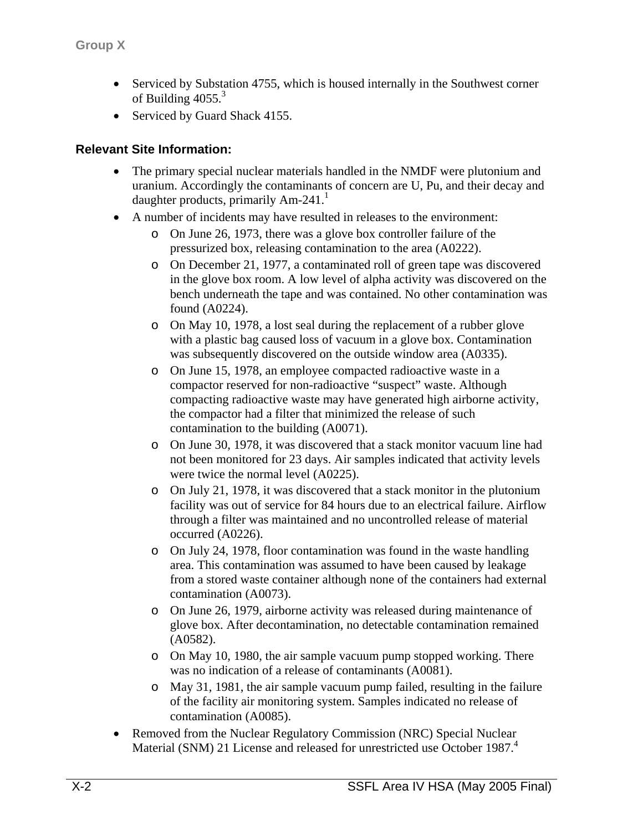- Serviced by Substation 4755, which is housed internally in the Southwest corner of Building  $4055<sup>3</sup>$
- Serviced by Guard Shack 4155.

## **Relevant Site Information:**

- The primary special nuclear materials handled in the NMDF were plutonium and uranium. Accordingly the contaminants of concern are U, Pu, and their decay and daughter products, primarily  $Am-241$ <sup>1</sup>
- A number of incidents may have resulted in releases to the environment:
	- o On June 26, 1973, there was a glove box controller failure of the pressurized box, releasing contamination to the area (A0222).
	- o On December 21, 1977, a contaminated roll of green tape was discovered in the glove box room. A low level of alpha activity was discovered on the bench underneath the tape and was contained. No other contamination was found (A0224).
	- o On May 10, 1978, a lost seal during the replacement of a rubber glove with a plastic bag caused loss of vacuum in a glove box. Contamination was subsequently discovered on the outside window area (A0335).
	- o On June 15, 1978, an employee compacted radioactive waste in a compactor reserved for non-radioactive "suspect" waste. Although compacting radioactive waste may have generated high airborne activity, the compactor had a filter that minimized the release of such contamination to the building (A0071).
	- o On June 30, 1978, it was discovered that a stack monitor vacuum line had not been monitored for 23 days. Air samples indicated that activity levels were twice the normal level (A0225).
	- o On July 21, 1978, it was discovered that a stack monitor in the plutonium facility was out of service for 84 hours due to an electrical failure. Airflow through a filter was maintained and no uncontrolled release of material occurred (A0226).
	- o On July 24, 1978, floor contamination was found in the waste handling area. This contamination was assumed to have been caused by leakage from a stored waste container although none of the containers had external contamination (A0073).
	- o On June 26, 1979, airborne activity was released during maintenance of glove box. After decontamination, no detectable contamination remained (A0582).
	- o On May 10, 1980, the air sample vacuum pump stopped working. There was no indication of a release of contaminants (A0081).
	- o May 31, 1981, the air sample vacuum pump failed, resulting in the failure of the facility air monitoring system. Samples indicated no release of contamination (A0085).
- Removed from the Nuclear Regulatory Commission (NRC) Special Nuclear Material (SNM) 21 License and released for unrestricted use October 1987.<sup>4</sup>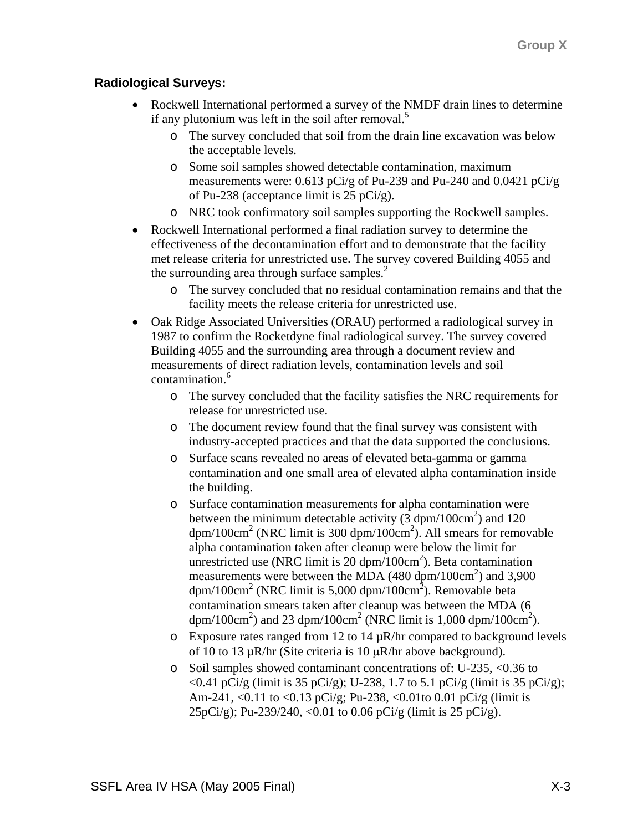# **Radiological Surveys:**

- Rockwell International performed a survey of the NMDF drain lines to determine if any plutonium was left in the soil after removal.<sup>5</sup>
	- o The survey concluded that soil from the drain line excavation was below the acceptable levels.
	- o Some soil samples showed detectable contamination, maximum measurements were: 0.613 pCi/g of Pu-239 and Pu-240 and 0.0421 pCi/g of Pu-238 (acceptance limit is 25 pCi/g).
	- o NRC took confirmatory soil samples supporting the Rockwell samples.
- Rockwell International performed a final radiation survey to determine the effectiveness of the decontamination effort and to demonstrate that the facility met release criteria for unrestricted use. The survey covered Building 4055 and the surrounding area through surface samples. $<sup>2</sup>$ </sup>
	- o The survey concluded that no residual contamination remains and that the facility meets the release criteria for unrestricted use.
- Oak Ridge Associated Universities (ORAU) performed a radiological survey in 1987 to confirm the Rocketdyne final radiological survey. The survey covered Building 4055 and the surrounding area through a document review and measurements of direct radiation levels, contamination levels and soil contamination.<sup>6</sup>
	- o The survey concluded that the facility satisfies the NRC requirements for release for unrestricted use.
	- o The document review found that the final survey was consistent with industry-accepted practices and that the data supported the conclusions.
	- o Surface scans revealed no areas of elevated beta-gamma or gamma contamination and one small area of elevated alpha contamination inside the building.
	- o Surface contamination measurements for alpha contamination were between the minimum detectable activity ( $\overline{3}$  dpm/100cm<sup>2</sup>) and 120  $\text{dpm}/100 \text{cm}^2$  (NRC limit is 300  $\text{dpm}/100 \text{cm}^2$ ). All smears for removable alpha contamination taken after cleanup were below the limit for unrestricted use (NRC limit is  $20 \text{ dpm}/100 \text{cm}^2$ ). Beta contamination measurements were between the MDA  $(480 \text{ dpm}/100 \text{cm}^2)$  and 3,900 dpm/100cm<sup>2</sup> (NRC limit is 5,000 dpm/100cm<sup>2</sup>). Removable beta contamination smears taken after cleanup was between the MDA (6 dpm/100cm<sup>2</sup>) and 23 dpm/100cm<sup>2</sup> (NRC limit is 1,000 dpm/100cm<sup>2</sup>).
	- $\circ$  Exposure rates ranged from 12 to 14  $\mu$ R/hr compared to background levels of 10 to 13  $\mu$ R/hr (Site criteria is 10  $\mu$ R/hr above background).
	- o Soil samples showed contaminant concentrations of: U-235, <0.36 to <0.41 pCi/g (limit is 35 pCi/g); U-238, 1.7 to 5.1 pCi/g (limit is 35 pCi/g); Am-241, <0.11 to <0.13 pCi/g; Pu-238, <0.01to 0.01 pCi/g (limit is 25pCi/g); Pu-239/240, <0.01 to 0.06 pCi/g (limit is 25 pCi/g).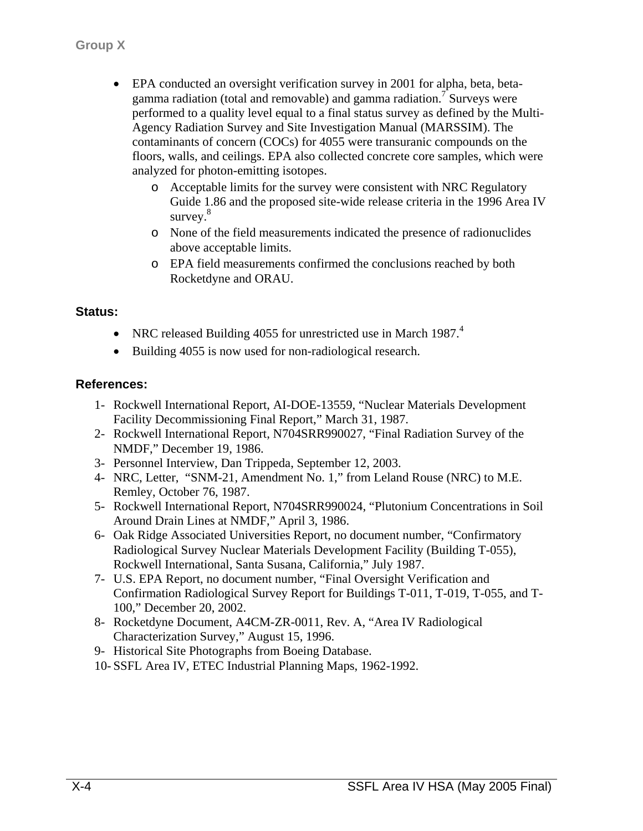- EPA conducted an oversight verification survey in 2001 for alpha, beta, betagamma radiation (total and removable) and gamma radiation.<sup>7</sup> Surveys were performed to a quality level equal to a final status survey as defined by the Multi-Agency Radiation Survey and Site Investigation Manual (MARSSIM). The contaminants of concern (COCs) for 4055 were transuranic compounds on the floors, walls, and ceilings. EPA also collected concrete core samples, which were analyzed for photon-emitting isotopes.
	- o Acceptable limits for the survey were consistent with NRC Regulatory Guide 1.86 and the proposed site-wide release criteria in the 1996 Area IV survey. $8$
	- o None of the field measurements indicated the presence of radionuclides above acceptable limits.
	- o EPA field measurements confirmed the conclusions reached by both Rocketdyne and ORAU.

#### **Status:**

- NRC released Building 4055 for unrestricted use in March 1987.<sup>4</sup>
- Building 4055 is now used for non-radiological research.

#### **References:**

- 1- Rockwell International Report, AI-DOE-13559, "Nuclear Materials Development Facility Decommissioning Final Report," March 31, 1987.
- 2- Rockwell International Report, N704SRR990027, "Final Radiation Survey of the NMDF," December 19, 1986.
- 3- Personnel Interview, Dan Trippeda, September 12, 2003.
- 4- NRC, Letter, "SNM-21, Amendment No. 1," from Leland Rouse (NRC) to M.E. Remley, October 76, 1987.
- 5- Rockwell International Report, N704SRR990024, "Plutonium Concentrations in Soil Around Drain Lines at NMDF," April 3, 1986.
- 6- Oak Ridge Associated Universities Report, no document number, "Confirmatory Radiological Survey Nuclear Materials Development Facility (Building T-055), Rockwell International, Santa Susana, California," July 1987.
- 7- U.S. EPA Report, no document number, "Final Oversight Verification and Confirmation Radiological Survey Report for Buildings T-011, T-019, T-055, and T-100," December 20, 2002.
- 8- Rocketdyne Document, A4CM-ZR-0011, Rev. A, "Area IV Radiological Characterization Survey," August 15, 1996.
- 9- Historical Site Photographs from Boeing Database.
- 10- SSFL Area IV, ETEC Industrial Planning Maps, 1962-1992.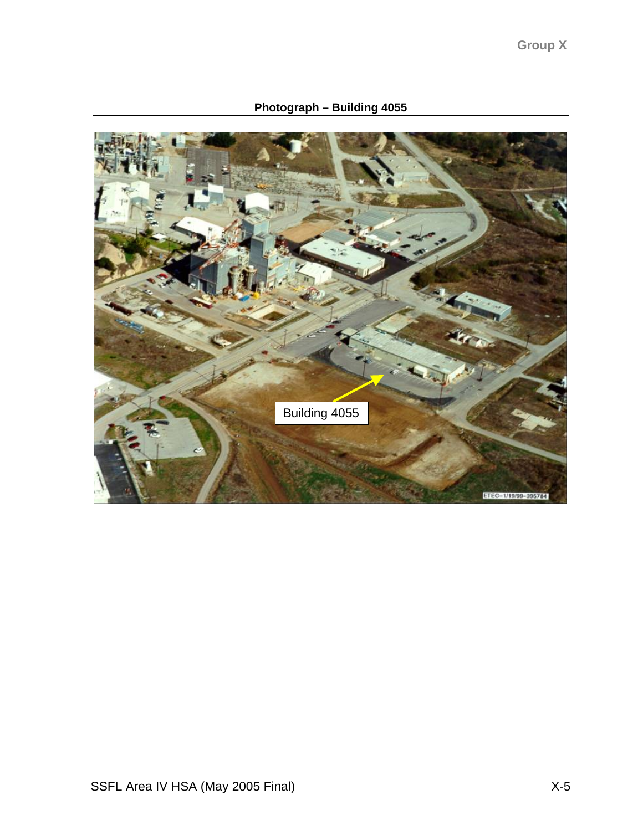